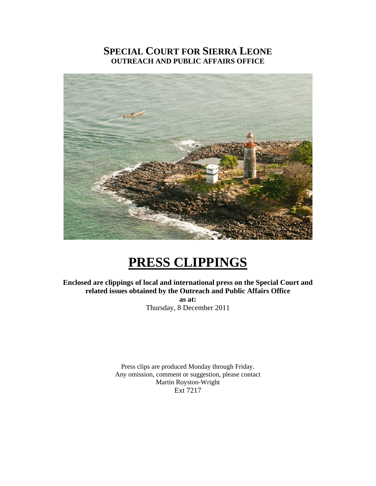## **SPECIAL COURT FOR SIERRA LEONE OUTREACH AND PUBLIC AFFAIRS OFFICE**



# **PRESS CLIPPINGS**

**Enclosed are clippings of local and international press on the Special Court and related issues obtained by the Outreach and Public Affairs Office as at:** 

Thursday, 8 December 2011

Press clips are produced Monday through Friday. Any omission, comment or suggestion, please contact Martin Royston-Wright Ext 7217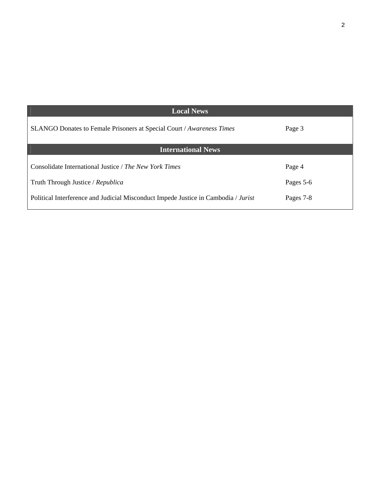| <b>Local News</b>                                                                  |           |
|------------------------------------------------------------------------------------|-----------|
| SLANGO Donates to Female Prisoners at Special Court / Awareness Times              | Page 3    |
| <b>International News</b>                                                          |           |
| Consolidate International Justice / The New York Times                             | Page 4    |
| Truth Through Justice / Republica                                                  | Pages 5-6 |
| Political Interference and Judicial Misconduct Impede Justice in Cambodia / Jurist | Pages 7-8 |

 $\sqrt{2}$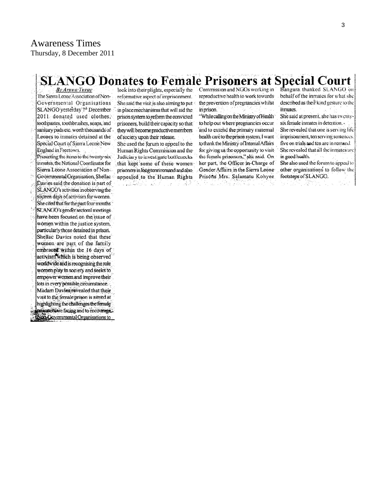#### **SLANGO Donates to Female Prisoners at Special Court** Bangura thanked SLANGO on

**By Aruna Turav** The Sierra Leone Association of Non-Governmental Organisations SLANGO yesterday 7th December 2011 donated used clothes, toothpastes, toothbrushes, soaps, and sanitary pads etc. worth thousands of Leones to inmates detained at the Special Court of Sierra Leone New England in Freetown.

Presenting the items to the twenty-six inmates, the National Coordinator for Sierra Leone Association of Non-Governmental Organisation, Shellac Davies said the donation is part of SLANGO's activities in observing the sixteen days of activism for women. She cited that for the past four months SLANGO's gender sectoral meetings have been focused on the issue of women within the justice system, particularly those detained in prison. Shellac Davies noted that these women are part of the family embraced within the 16 days of activism which is being observed worldwide and is recognising the role women play in society and seeks to empower women and improve their lots in every possible circumstance. Madam Davies revealed that their visit to the female prison is aimed at highlighting the challenges the female monet are facing and to encourage. **Non-Governmental Organisations to** 

look into their plights, especially the reformative aspect of imprisonment. She said the visit is also aiming to put in place mechanisms that will aid the prison system to reform the convicted prisoners, build their capacity so that they will become productive members of society upon their release.

She used the forum to appeal to the Human Rights Commission and the Judiciary to investigate bottlenecks that kept some of these womenprisoners in long term remand and also appealed to the Human Rights . 13.455 | 15.7 | 15.16.38

Commission and NGOs working in reproductive health to work towards the prevention of pregnancies whilst in prison.

"While calling on the Ministry of Health to help out where pregnancies occur and to extend the primary maternal health care to the prison system, I want to thank the Ministry of Internal Affairs for giving us the opportunity to visitthe female prisoners," she said. On her part, the Officer in-Charge of Gender Affairs in the Sierra Leone Prisóns Mrs. Salamatu Kohyee Na 1

At a committee with

behalf of the inmates for what she described as their kind gesture to the inmates. She said at present, she has twentysix female inmates in detention. She revealed that one is serving life imprisonment, ten serving sentences. five on trials and ten are in remand. She revealed that all the inmates are in good health.

She also used the forum to appeal to other organisations to follow the footsteps of SLANGO.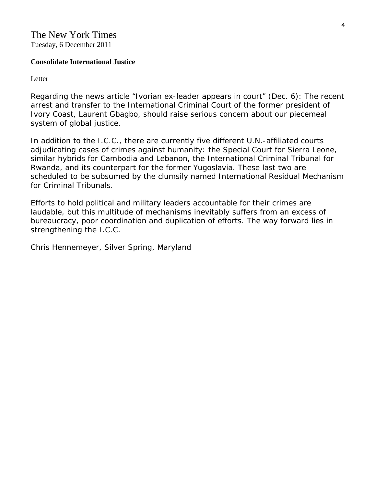### The New York Times Tuesday, 6 December 2011

#### **Consolidate International Justice**

Letter

Regarding the news article "Ivorian ex-leader appears in court" (Dec. 6): The recent arrest and transfer to the International Criminal Court of the former president of Ivory Coast, Laurent Gbagbo, should raise serious concern about our piecemeal system of global justice.

In addition to the I.C.C., there are currently five different U.N.-affiliated courts adjudicating cases of crimes against humanity: the Special Court for Sierra Leone, similar hybrids for Cambodia and Lebanon, the International Criminal Tribunal for Rwanda, and its counterpart for the former Yugoslavia. These last two are scheduled to be subsumed by the clumsily named International Residual Mechanism for Criminal Tribunals.

Efforts to hold political and military leaders accountable for their crimes are laudable, but this multitude of mechanisms inevitably suffers from an excess of bureaucracy, poor coordination and duplication of efforts. The way forward lies in strengthening the I.C.C.

*Chris Hennemeyer, Silver Spring, Maryland*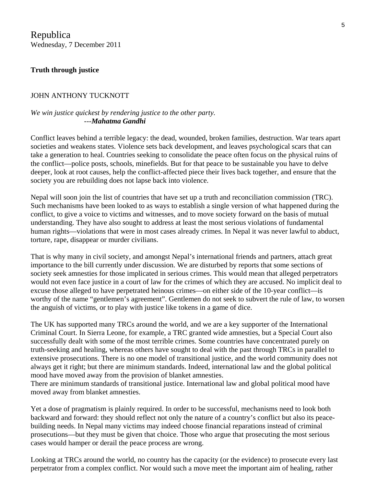Republica Wednesday, 7 December 2011

#### **Truth through justice**

#### JOHN ANTHONY TUCKNOTT

#### *We win justice quickest by rendering justice to the other party.* ---*Mahatma Gandhi*

Conflict leaves behind a terrible legacy: the dead, wounded, broken families, destruction. War tears apart societies and weakens states. Violence sets back development, and leaves psychological scars that can take a generation to heal. Countries seeking to consolidate the peace often focus on the physical ruins of the conflict—police posts, schools, minefields. But for that peace to be sustainable you have to delve deeper, look at root causes, help the conflict-affected piece their lives back together, and ensure that the society you are rebuilding does not lapse back into violence.

Nepal will soon join the list of countries that have set up a truth and reconciliation commission (TRC). Such mechanisms have been looked to as ways to establish a single version of what happened during the conflict, to give a voice to victims and witnesses, and to move society forward on the basis of mutual understanding. They have also sought to address at least the most serious violations of fundamental human rights—violations that were in most cases already crimes. In Nepal it was never lawful to abduct, torture, rape, disappear or murder civilians.

That is why many in civil society, and amongst Nepal's international friends and partners, attach great importance to the bill currently under discussion. We are disturbed by reports that some sections of society seek amnesties for those implicated in serious crimes. This would mean that alleged perpetrators would not even face justice in a court of law for the crimes of which they are accused. No implicit deal to excuse those alleged to have perpetrated heinous crimes—on either side of the 10-year conflict—is worthy of the name "gentlemen's agreement". Gentlemen do not seek to subvert the rule of law, to worsen the anguish of victims, or to play with justice like tokens in a game of dice.

The UK has supported many TRCs around the world, and we are a key supporter of the International Criminal Court. In Sierra Leone, for example, a TRC granted wide amnesties, but a Special Court also successfully dealt with some of the most terrible crimes. Some countries have concentrated purely on truth-seeking and healing, whereas others have sought to deal with the past through TRCs in parallel to extensive prosecutions. There is no one model of transitional justice, and the world community does not always get it right; but there are minimum standards. Indeed, international law and the global political mood have moved away from the provision of blanket amnesties.

There are minimum standards of transitional justice. International law and global political mood have moved away from blanket amnesties.

Yet a dose of pragmatism is plainly required. In order to be successful, mechanisms need to look both backward and forward: they should reflect not only the nature of a country's conflict but also its peacebuilding needs. In Nepal many victims may indeed choose financial reparations instead of criminal prosecutions—but they must be given that choice. Those who argue that prosecuting the most serious cases would hamper or derail the peace process are wrong.

Looking at TRCs around the world, no country has the capacity (or the evidence) to prosecute every last perpetrator from a complex conflict. Nor would such a move meet the important aim of healing, rather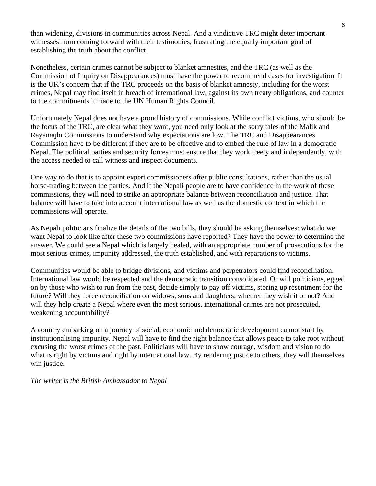than widening, divisions in communities across Nepal. And a vindictive TRC might deter important witnesses from coming forward with their testimonies, frustrating the equally important goal of establishing the truth about the conflict.

Nonetheless, certain crimes cannot be subject to blanket amnesties, and the TRC (as well as the Commission of Inquiry on Disappearances) must have the power to recommend cases for investigation. It is the UK's concern that if the TRC proceeds on the basis of blanket amnesty, including for the worst crimes, Nepal may find itself in breach of international law, against its own treaty obligations, and counter to the commitments it made to the UN Human Rights Council.

Unfortunately Nepal does not have a proud history of commissions. While conflict victims, who should be the focus of the TRC, are clear what they want, you need only look at the sorry tales of the Malik and Rayamajhi Commissions to understand why expectations are low. The TRC and Disappearances Commission have to be different if they are to be effective and to embed the rule of law in a democratic Nepal. The political parties and security forces must ensure that they work freely and independently, with the access needed to call witness and inspect documents.

One way to do that is to appoint expert commissioners after public consultations, rather than the usual horse-trading between the parties. And if the Nepali people are to have confidence in the work of these commissions, they will need to strike an appropriate balance between reconciliation and justice. That balance will have to take into account international law as well as the domestic context in which the commissions will operate.

As Nepali politicians finalize the details of the two bills, they should be asking themselves: what do we want Nepal to look like after these two commissions have reported? They have the power to determine the answer. We could see a Nepal which is largely healed, with an appropriate number of prosecutions for the most serious crimes, impunity addressed, the truth established, and with reparations to victims.

Communities would be able to bridge divisions, and victims and perpetrators could find reconciliation. International law would be respected and the democratic transition consolidated. Or will politicians, egged on by those who wish to run from the past, decide simply to pay off victims, storing up resentment for the future? Will they force reconciliation on widows, sons and daughters, whether they wish it or not? And will they help create a Nepal where even the most serious, international crimes are not prosecuted, weakening accountability?

A country embarking on a journey of social, economic and democratic development cannot start by institutionalising impunity. Nepal will have to find the right balance that allows peace to take root without excusing the worst crimes of the past. Politicians will have to show courage, wisdom and vision to do what is right by victims and right by international law. By rendering justice to others, they will themselves win justice.

*The writer is the British Ambassador to Nepal*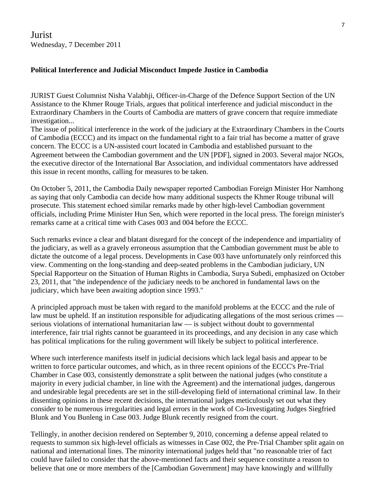Jurist Wednesday, 7 December 2011

#### **Political Interference and Judicial Misconduct Impede Justice in Cambodia**

JURIST Guest Columnist Nisha Valabhji, Officer-in-Charge of the Defence Support Section of the UN Assistance to the Khmer Rouge Trials, argues that political interference and judicial misconduct in the Extraordinary Chambers in the Courts of Cambodia are matters of grave concern that require immediate investigation...

The issue of political interference in the work of the judiciary at the Extraordinary Chambers in the Courts of Cambodia (ECCC) and its impact on the fundamental right to a fair trial has become a matter of grave concern. The ECCC is a UN-assisted court located in Cambodia and established pursuant to the Agreement between the Cambodian government and the UN [PDF], signed in 2003. Several major NGOs, the executive director of the International Bar Association, and individual commentators have addressed this issue in recent months, calling for measures to be taken.

On October 5, 2011, the Cambodia Daily newspaper reported Cambodian Foreign Minister Hor Namhong as saying that only Cambodia can decide how many additional suspects the Khmer Rouge tribunal will prosecute. This statement echoed similar remarks made by other high-level Cambodian government officials, including Prime Minister Hun Sen, which were reported in the local press. The foreign minister's remarks came at a critical time with Cases 003 and 004 before the ECCC.

Such remarks evince a clear and blatant disregard for the concept of the independence and impartiality of the judiciary, as well as a gravely erroneous assumption that the Cambodian government must be able to dictate the outcome of a legal process. Developments in Case 003 have unfortunately only reinforced this view. Commenting on the long-standing and deep-seated problems in the Cambodian judiciary, UN Special Rapporteur on the Situation of Human Rights in Cambodia, Surya Subedi, emphasized on October 23, 2011, that "the independence of the judiciary needs to be anchored in fundamental laws on the judiciary, which have been awaiting adoption since 1993."

A principled approach must be taken with regard to the manifold problems at the ECCC and the rule of law must be upheld. If an institution responsible for adjudicating allegations of the most serious crimes serious violations of international humanitarian law — is subject without doubt to governmental interference, fair trial rights cannot be guaranteed in its proceedings, and any decision in any case which has political implications for the ruling government will likely be subject to political interference.

Where such interference manifests itself in judicial decisions which lack legal basis and appear to be written to force particular outcomes, and which, as in three recent opinions of the ECCC's Pre-Trial Chamber in Case 003, consistently demonstrate a split between the national judges (who constitute a majority in every judicial chamber, in line with the Agreement) and the international judges, dangerous and undesirable legal precedents are set in the still-developing field of international criminal law. In their dissenting opinions in these recent decisions, the international judges meticulously set out what they consider to be numerous irregularities and legal errors in the work of Co-Investigating Judges Siegfried Blunk and You Bunleng in Case 003. Judge Blunk recently resigned from the court.

Tellingly, in another decision rendered on September 9, 2010, concerning a defense appeal related to requests to summon six high-level officials as witnesses in Case 002, the Pre-Trial Chamber split again on national and international lines. The minority international judges held that "no reasonable trier of fact could have failed to consider that the above-mentioned facts and their sequence constitute a reason to believe that one or more members of the [Cambodian Government] may have knowingly and willfully